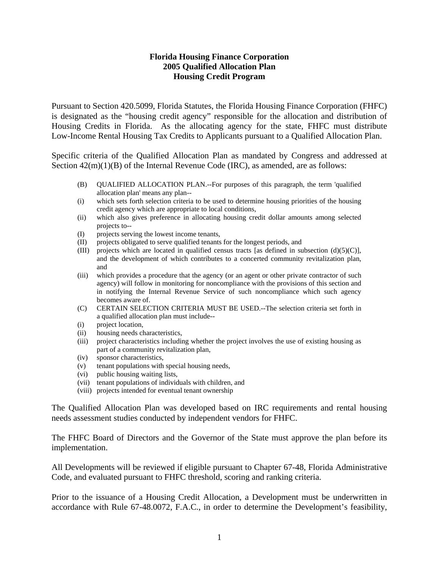### **Florida Housing Finance Corporation 2005 Qualified Allocation Plan Housing Credit Program**

Pursuant to Section 420.5099, Florida Statutes, the Florida Housing Finance Corporation (FHFC) is designated as the "housing credit agency" responsible for the allocation and distribution of Housing Credits in Florida. As the allocating agency for the state, FHFC must distribute Low-Income Rental Housing Tax Credits to Applicants pursuant to a Qualified Allocation Plan.

Specific criteria of the Qualified Allocation Plan as mandated by Congress and addressed at Section  $42(m)(1)(B)$  of the Internal Revenue Code (IRC), as amended, are as follows:

- (B) QUALIFIED ALLOCATION PLAN.--For purposes of this paragraph, the term 'qualified allocation plan' means any plan--
- (i) which sets forth selection criteria to be used to determine housing priorities of the housing credit agency which are appropriate to local conditions,
- (ii) which also gives preference in allocating housing credit dollar amounts among selected projects to--
- (I) projects serving the lowest income tenants,
- (II) projects obligated to serve qualified tenants for the longest periods, and
- (III) projects which are located in qualified census tracts [as defined in subsection  $(d)(5)(C)$ ], and the development of which contributes to a concerted community revitalization plan, and
- (iii) which provides a procedure that the agency (or an agent or other private contractor of such agency) will follow in monitoring for noncompliance with the provisions of this section and in notifying the Internal Revenue Service of such noncompliance which such agency becomes aware of.
- (C) CERTAIN SELECTION CRITERIA MUST BE USED.--The selection criteria set forth in a qualified allocation plan must include--
- (i) project location,
- (ii) housing needs characteristics,
- (iii) project characteristics including whether the project involves the use of existing housing as part of a community revitalization plan,
- (iv) sponsor characteristics,
- (v) tenant populations with special housing needs,
- (vi) public housing waiting lists,
- (vii) tenant populations of individuals with children, and
- (viii) projects intended for eventual tenant ownership

The Qualified Allocation Plan was developed based on IRC requirements and rental housing needs assessment studies conducted by independent vendors for FHFC.

The FHFC Board of Directors and the Governor of the State must approve the plan before its implementation.

All Developments will be reviewed if eligible pursuant to Chapter 67-48, Florida Administrative Code, and evaluated pursuant to FHFC threshold, scoring and ranking criteria.

Prior to the issuance of a Housing Credit Allocation, a Development must be underwritten in accordance with Rule 67-48.0072, F.A.C., in order to determine the Development's feasibility,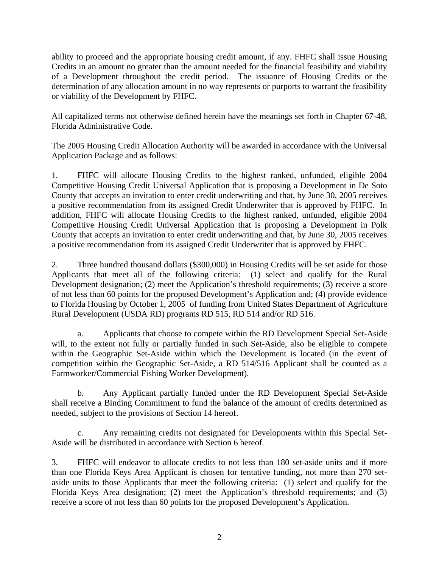ability to proceed and the appropriate housing credit amount, if any. FHFC shall issue Housing Credits in an amount no greater than the amount needed for the financial feasibility and viability of a Development throughout the credit period. The issuance of Housing Credits or the determination of any allocation amount in no way represents or purports to warrant the feasibility or viability of the Development by FHFC.

All capitalized terms not otherwise defined herein have the meanings set forth in Chapter 67-48, Florida Administrative Code.

The 2005 Housing Credit Allocation Authority will be awarded in accordance with the Universal Application Package and as follows:

1. FHFC will allocate Housing Credits to the highest ranked, unfunded, eligible 2004 Competitive Housing Credit Universal Application that is proposing a Development in De Soto County that accepts an invitation to enter credit underwriting and that, by June 30, 2005 receives a positive recommendation from its assigned Credit Underwriter that is approved by FHFC. In addition, FHFC will allocate Housing Credits to the highest ranked, unfunded, eligible 2004 Competitive Housing Credit Universal Application that is proposing a Development in Polk County that accepts an invitation to enter credit underwriting and that, by June 30, 2005 receives a positive recommendation from its assigned Credit Underwriter that is approved by FHFC.

2. Three hundred thousand dollars (\$300,000) in Housing Credits will be set aside for those Applicants that meet all of the following criteria: (1) select and qualify for the Rural Development designation; (2) meet the Application's threshold requirements; (3) receive a score of not less than 60 points for the proposed Development's Application and; (4) provide evidence to Florida Housing by October 1, 2005 of funding from United States Department of Agriculture Rural Development (USDA RD) programs RD 515, RD 514 and/or RD 516.

a. Applicants that choose to compete within the RD Development Special Set-Aside will, to the extent not fully or partially funded in such Set-Aside, also be eligible to compete within the Geographic Set-Aside within which the Development is located (in the event of competition within the Geographic Set-Aside, a RD 514/516 Applicant shall be counted as a Farmworker/Commercial Fishing Worker Development).

b. Any Applicant partially funded under the RD Development Special Set-Aside shall receive a Binding Commitment to fund the balance of the amount of credits determined as needed, subject to the provisions of Section 14 hereof.

c. Any remaining credits not designated for Developments within this Special Set-Aside will be distributed in accordance with Section 6 hereof.

3. FHFC will endeavor to allocate credits to not less than 180 set-aside units and if more than one Florida Keys Area Applicant is chosen for tentative funding, not more than 270 setaside units to those Applicants that meet the following criteria: (1) select and qualify for the Florida Keys Area designation; (2) meet the Application's threshold requirements; and (3) receive a score of not less than 60 points for the proposed Development's Application.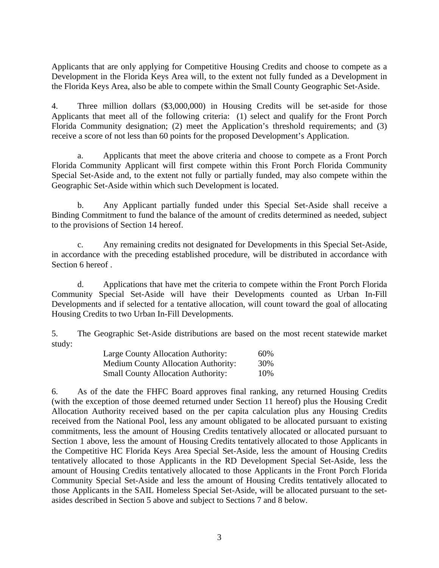Applicants that are only applying for Competitive Housing Credits and choose to compete as a Development in the Florida Keys Area will, to the extent not fully funded as a Development in the Florida Keys Area, also be able to compete within the Small County Geographic Set-Aside.

4. Three million dollars (\$3,000,000) in Housing Credits will be set-aside for those Applicants that meet all of the following criteria: (1) select and qualify for the Front Porch Florida Community designation; (2) meet the Application's threshold requirements; and (3) receive a score of not less than 60 points for the proposed Development's Application.

a. Applicants that meet the above criteria and choose to compete as a Front Porch Florida Community Applicant will first compete within this Front Porch Florida Community Special Set-Aside and, to the extent not fully or partially funded, may also compete within the Geographic Set-Aside within which such Development is located.

b. Any Applicant partially funded under this Special Set-Aside shall receive a Binding Commitment to fund the balance of the amount of credits determined as needed, subject to the provisions of Section 14 hereof.

c. Any remaining credits not designated for Developments in this Special Set-Aside, in accordance with the preceding established procedure, will be distributed in accordance with Section 6 hereof .

d. Applications that have met the criteria to compete within the Front Porch Florida Community Special Set-Aside will have their Developments counted as Urban In-Fill Developments and if selected for a tentative allocation, will count toward the goal of allocating Housing Credits to two Urban In-Fill Developments.

5. The Geographic Set-Aside distributions are based on the most recent statewide market study:

| Large County Allocation Authority:         | 60% |
|--------------------------------------------|-----|
| <b>Medium County Allocation Authority:</b> | 30% |
| <b>Small County Allocation Authority:</b>  | 10% |

6. As of the date the FHFC Board approves final ranking, any returned Housing Credits (with the exception of those deemed returned under Section 11 hereof) plus the Housing Credit Allocation Authority received based on the per capita calculation plus any Housing Credits received from the National Pool, less any amount obligated to be allocated pursuant to existing commitments, less the amount of Housing Credits tentatively allocated or allocated pursuant to Section 1 above, less the amount of Housing Credits tentatively allocated to those Applicants in the Competitive HC Florida Keys Area Special Set-Aside, less the amount of Housing Credits tentatively allocated to those Applicants in the RD Development Special Set-Aside, less the amount of Housing Credits tentatively allocated to those Applicants in the Front Porch Florida Community Special Set-Aside and less the amount of Housing Credits tentatively allocated to those Applicants in the SAIL Homeless Special Set-Aside, will be allocated pursuant to the setasides described in Section 5 above and subject to Sections 7 and 8 below.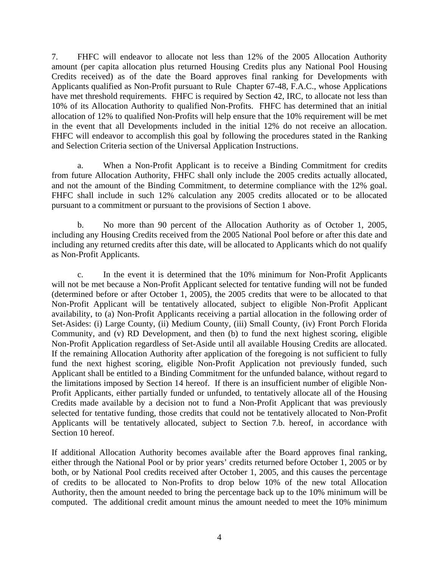7. FHFC will endeavor to allocate not less than 12% of the 2005 Allocation Authority amount (per capita allocation plus returned Housing Credits plus any National Pool Housing Credits received) as of the date the Board approves final ranking for Developments with Applicants qualified as Non-Profit pursuant to Rule Chapter 67-48, F.A.C., whose Applications have met threshold requirements. FHFC is required by Section 42, IRC, to allocate not less than 10% of its Allocation Authority to qualified Non-Profits. FHFC has determined that an initial allocation of 12% to qualified Non-Profits will help ensure that the 10% requirement will be met in the event that all Developments included in the initial 12% do not receive an allocation. FHFC will endeavor to accomplish this goal by following the procedures stated in the Ranking and Selection Criteria section of the Universal Application Instructions.

a. When a Non-Profit Applicant is to receive a Binding Commitment for credits from future Allocation Authority, FHFC shall only include the 2005 credits actually allocated, and not the amount of the Binding Commitment, to determine compliance with the 12% goal. FHFC shall include in such 12% calculation any 2005 credits allocated or to be allocated pursuant to a commitment or pursuant to the provisions of Section 1 above.

b. No more than 90 percent of the Allocation Authority as of October 1, 2005, including any Housing Credits received from the 2005 National Pool before or after this date and including any returned credits after this date, will be allocated to Applicants which do not qualify as Non-Profit Applicants.

c. In the event it is determined that the 10% minimum for Non-Profit Applicants will not be met because a Non-Profit Applicant selected for tentative funding will not be funded (determined before or after October 1, 2005), the 2005 credits that were to be allocated to that Non-Profit Applicant will be tentatively allocated, subject to eligible Non-Profit Applicant availability, to (a) Non-Profit Applicants receiving a partial allocation in the following order of Set-Asides: (i) Large County, (ii) Medium County, (iii) Small County, (iv) Front Porch Florida Community, and (v) RD Development, and then (b) to fund the next highest scoring, eligible Non-Profit Application regardless of Set-Aside until all available Housing Credits are allocated. If the remaining Allocation Authority after application of the foregoing is not sufficient to fully fund the next highest scoring, eligible Non-Profit Application not previously funded, such Applicant shall be entitled to a Binding Commitment for the unfunded balance, without regard to the limitations imposed by Section 14 hereof. If there is an insufficient number of eligible Non-Profit Applicants, either partially funded or unfunded, to tentatively allocate all of the Housing Credits made available by a decision not to fund a Non-Profit Applicant that was previously selected for tentative funding, those credits that could not be tentatively allocated to Non-Profit Applicants will be tentatively allocated, subject to Section 7.b. hereof, in accordance with Section 10 hereof.

If additional Allocation Authority becomes available after the Board approves final ranking, either through the National Pool or by prior years' credits returned before October 1, 2005 or by both, or by National Pool credits received after October 1, 2005, and this causes the percentage of credits to be allocated to Non-Profits to drop below 10% of the new total Allocation Authority, then the amount needed to bring the percentage back up to the 10% minimum will be computed. The additional credit amount minus the amount needed to meet the 10% minimum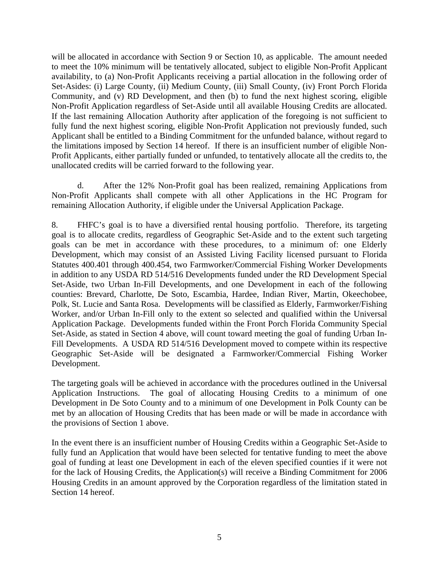will be allocated in accordance with Section 9 or Section 10, as applicable. The amount needed to meet the 10% minimum will be tentatively allocated, subject to eligible Non-Profit Applicant availability, to (a) Non-Profit Applicants receiving a partial allocation in the following order of Set-Asides: (i) Large County, (ii) Medium County, (iii) Small County, (iv) Front Porch Florida Community, and (v) RD Development, and then (b) to fund the next highest scoring, eligible Non-Profit Application regardless of Set-Aside until all available Housing Credits are allocated. If the last remaining Allocation Authority after application of the foregoing is not sufficient to fully fund the next highest scoring, eligible Non-Profit Application not previously funded, such Applicant shall be entitled to a Binding Commitment for the unfunded balance, without regard to the limitations imposed by Section 14 hereof. If there is an insufficient number of eligible Non-Profit Applicants, either partially funded or unfunded, to tentatively allocate all the credits to, the unallocated credits will be carried forward to the following year.

d. After the 12% Non-Profit goal has been realized, remaining Applications from Non-Profit Applicants shall compete with all other Applications in the HC Program for remaining Allocation Authority, if eligible under the Universal Application Package.

8. FHFC's goal is to have a diversified rental housing portfolio. Therefore, its targeting goal is to allocate credits, regardless of Geographic Set-Aside and to the extent such targeting goals can be met in accordance with these procedures, to a minimum of: one Elderly Development, which may consist of an Assisted Living Facility licensed pursuant to Florida Statutes 400.401 through 400.454, two Farmworker/Commercial Fishing Worker Developments in addition to any USDA RD 514/516 Developments funded under the RD Development Special Set-Aside, two Urban In-Fill Developments, and one Development in each of the following counties: Brevard, Charlotte, De Soto, Escambia, Hardee, Indian River, Martin, Okeechobee, Polk, St. Lucie and Santa Rosa. Developments will be classified as Elderly, Farmworker/Fishing Worker, and/or Urban In-Fill only to the extent so selected and qualified within the Universal Application Package. Developments funded within the Front Porch Florida Community Special Set-Aside, as stated in Section 4 above, will count toward meeting the goal of funding Urban In-Fill Developments. A USDA RD 514/516 Development moved to compete within its respective Geographic Set-Aside will be designated a Farmworker/Commercial Fishing Worker Development.

The targeting goals will be achieved in accordance with the procedures outlined in the Universal Application Instructions. The goal of allocating Housing Credits to a minimum of one Development in De Soto County and to a minimum of one Development in Polk County can be met by an allocation of Housing Credits that has been made or will be made in accordance with the provisions of Section 1 above.

In the event there is an insufficient number of Housing Credits within a Geographic Set-Aside to fully fund an Application that would have been selected for tentative funding to meet the above goal of funding at least one Development in each of the eleven specified counties if it were not for the lack of Housing Credits, the Application(s) will receive a Binding Commitment for 2006 Housing Credits in an amount approved by the Corporation regardless of the limitation stated in Section 14 hereof.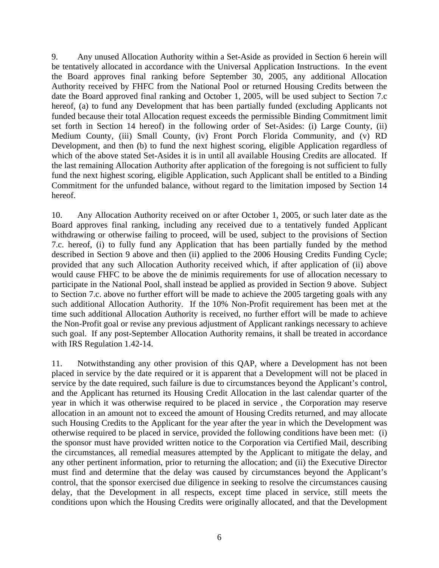9. Any unused Allocation Authority within a Set-Aside as provided in Section 6 herein will be tentatively allocated in accordance with the Universal Application Instructions. In the event the Board approves final ranking before September 30, 2005, any additional Allocation Authority received by FHFC from the National Pool or returned Housing Credits between the date the Board approved final ranking and October 1, 2005, will be used subject to Section 7.c hereof, (a) to fund any Development that has been partially funded (excluding Applicants not funded because their total Allocation request exceeds the permissible Binding Commitment limit set forth in Section 14 hereof) in the following order of Set-Asides: (i) Large County, (ii) Medium County, (iii) Small County, (iv) Front Porch Florida Community, and (v) RD Development, and then (b) to fund the next highest scoring, eligible Application regardless of which of the above stated Set-Asides it is in until all available Housing Credits are allocated. If the last remaining Allocation Authority after application of the foregoing is not sufficient to fully fund the next highest scoring, eligible Application, such Applicant shall be entitled to a Binding Commitment for the unfunded balance, without regard to the limitation imposed by Section 14 hereof.

10. Any Allocation Authority received on or after October 1, 2005, or such later date as the Board approves final ranking, including any received due to a tentatively funded Applicant withdrawing or otherwise failing to proceed, will be used, subject to the provisions of Section 7.c. hereof, (i) to fully fund any Application that has been partially funded by the method described in Section 9 above and then (ii) applied to the 2006 Housing Credits Funding Cycle; provided that any such Allocation Authority received which, if after application of (ii) above would cause FHFC to be above the de minimis requirements for use of allocation necessary to participate in the National Pool, shall instead be applied as provided in Section 9 above. Subject to Section 7.c. above no further effort will be made to achieve the 2005 targeting goals with any such additional Allocation Authority. If the 10% Non-Profit requirement has been met at the time such additional Allocation Authority is received, no further effort will be made to achieve the Non-Profit goal or revise any previous adjustment of Applicant rankings necessary to achieve such goal. If any post-September Allocation Authority remains, it shall be treated in accordance with IRS Regulation 1.42-14.

11. Notwithstanding any other provision of this QAP, where a Development has not been placed in service by the date required or it is apparent that a Development will not be placed in service by the date required, such failure is due to circumstances beyond the Applicant's control, and the Applicant has returned its Housing Credit Allocation in the last calendar quarter of the year in which it was otherwise required to be placed in service , the Corporation may reserve allocation in an amount not to exceed the amount of Housing Credits returned, and may allocate such Housing Credits to the Applicant for the year after the year in which the Development was otherwise required to be placed in service, provided the following conditions have been met: (i) the sponsor must have provided written notice to the Corporation via Certified Mail, describing the circumstances, all remedial measures attempted by the Applicant to mitigate the delay, and any other pertinent information, prior to returning the allocation; and (ii) the Executive Director must find and determine that the delay was caused by circumstances beyond the Applicant's control, that the sponsor exercised due diligence in seeking to resolve the circumstances causing delay, that the Development in all respects, except time placed in service, still meets the conditions upon which the Housing Credits were originally allocated, and that the Development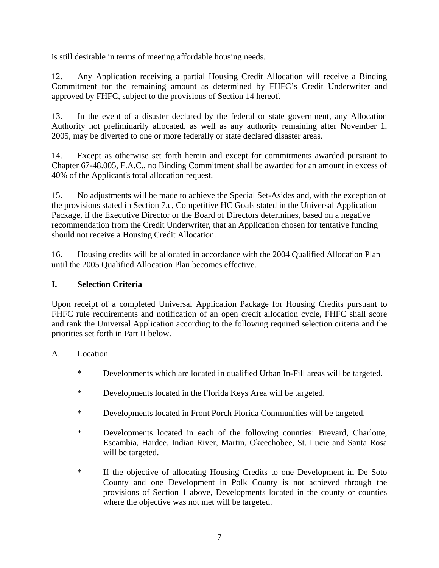is still desirable in terms of meeting affordable housing needs.

12. Any Application receiving a partial Housing Credit Allocation will receive a Binding Commitment for the remaining amount as determined by FHFC's Credit Underwriter and approved by FHFC, subject to the provisions of Section 14 hereof.

13. In the event of a disaster declared by the federal or state government, any Allocation Authority not preliminarily allocated, as well as any authority remaining after November 1, 2005, may be diverted to one or more federally or state declared disaster areas.

14. Except as otherwise set forth herein and except for commitments awarded pursuant to Chapter 67-48.005, F.A.C., no Binding Commitment shall be awarded for an amount in excess of 40% of the Applicant's total allocation request.

15. No adjustments will be made to achieve the Special Set-Asides and, with the exception of the provisions stated in Section 7.c, Competitive HC Goals stated in the Universal Application Package, if the Executive Director or the Board of Directors determines, based on a negative recommendation from the Credit Underwriter, that an Application chosen for tentative funding should not receive a Housing Credit Allocation.

16. Housing credits will be allocated in accordance with the 2004 Qualified Allocation Plan until the 2005 Qualified Allocation Plan becomes effective.

# **I. Selection Criteria**

Upon receipt of a completed Universal Application Package for Housing Credits pursuant to FHFC rule requirements and notification of an open credit allocation cycle, FHFC shall score and rank the Universal Application according to the following required selection criteria and the priorities set forth in Part II below.

# A. Location

- \* Developments which are located in qualified Urban In-Fill areas will be targeted.
- \* Developments located in the Florida Keys Area will be targeted.
- \* Developments located in Front Porch Florida Communities will be targeted.
- \* Developments located in each of the following counties: Brevard, Charlotte, Escambia, Hardee, Indian River, Martin, Okeechobee, St. Lucie and Santa Rosa will be targeted.
- \* If the objective of allocating Housing Credits to one Development in De Soto County and one Development in Polk County is not achieved through the provisions of Section 1 above, Developments located in the county or counties where the objective was not met will be targeted.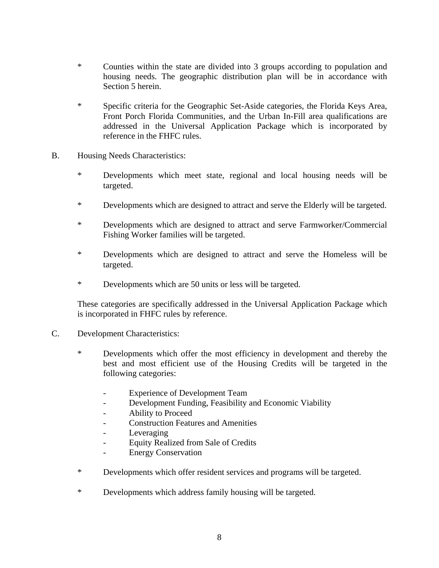- \* Counties within the state are divided into 3 groups according to population and housing needs. The geographic distribution plan will be in accordance with Section 5 herein.
- \* Specific criteria for the Geographic Set-Aside categories, the Florida Keys Area, Front Porch Florida Communities, and the Urban In-Fill area qualifications are addressed in the Universal Application Package which is incorporated by reference in the FHFC rules.
- B. Housing Needs Characteristics:
	- \* Developments which meet state, regional and local housing needs will be targeted.
	- \* Developments which are designed to attract and serve the Elderly will be targeted.
	- \* Developments which are designed to attract and serve Farmworker/Commercial Fishing Worker families will be targeted.
	- \* Developments which are designed to attract and serve the Homeless will be targeted.
	- \* Developments which are 50 units or less will be targeted.

These categories are specifically addressed in the Universal Application Package which is incorporated in FHFC rules by reference.

#### C. Development Characteristics:

- \* Developments which offer the most efficiency in development and thereby the best and most efficient use of the Housing Credits will be targeted in the following categories:
	- Experience of Development Team
	- Development Funding, Feasibility and Economic Viability
	- Ability to Proceed
	- Construction Features and Amenities
	- Leveraging
	- Equity Realized from Sale of Credits
	- Energy Conservation
- \* Developments which offer resident services and programs will be targeted.
- \* Developments which address family housing will be targeted.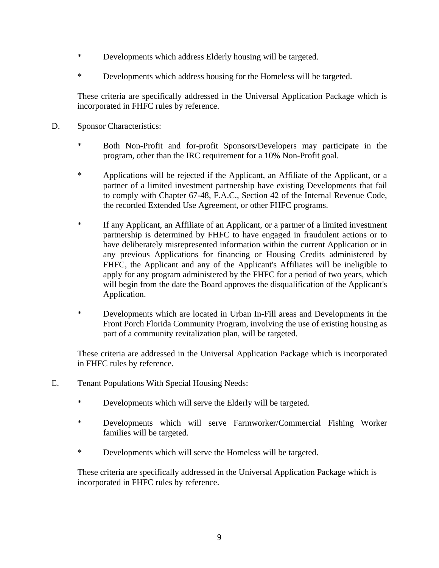- \* Developments which address Elderly housing will be targeted.
- \* Developments which address housing for the Homeless will be targeted.

These criteria are specifically addressed in the Universal Application Package which is incorporated in FHFC rules by reference.

- D. Sponsor Characteristics:
	- \* Both Non-Profit and for-profit Sponsors/Developers may participate in the program, other than the IRC requirement for a 10% Non-Profit goal.
	- \* Applications will be rejected if the Applicant, an Affiliate of the Applicant, or a partner of a limited investment partnership have existing Developments that fail to comply with Chapter 67-48, F.A.C., Section 42 of the Internal Revenue Code, the recorded Extended Use Agreement, or other FHFC programs.
	- \* If any Applicant, an Affiliate of an Applicant, or a partner of a limited investment partnership is determined by FHFC to have engaged in fraudulent actions or to have deliberately misrepresented information within the current Application or in any previous Applications for financing or Housing Credits administered by FHFC, the Applicant and any of the Applicant's Affiliates will be ineligible to apply for any program administered by the FHFC for a period of two years, which will begin from the date the Board approves the disqualification of the Applicant's Application.
	- \* Developments which are located in Urban In-Fill areas and Developments in the Front Porch Florida Community Program, involving the use of existing housing as part of a community revitalization plan, will be targeted.

These criteria are addressed in the Universal Application Package which is incorporated in FHFC rules by reference.

- E. Tenant Populations With Special Housing Needs:
	- \* Developments which will serve the Elderly will be targeted.
	- \* Developments which will serve Farmworker/Commercial Fishing Worker families will be targeted.
	- \* Developments which will serve the Homeless will be targeted.

 These criteria are specifically addressed in the Universal Application Package which is incorporated in FHFC rules by reference.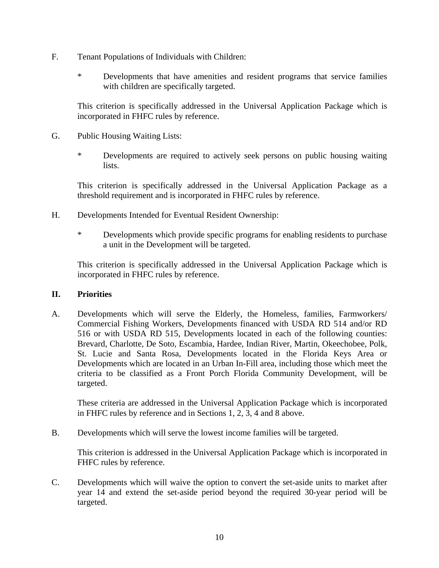- F. Tenant Populations of Individuals with Children:
	- \* Developments that have amenities and resident programs that service families with children are specifically targeted.

This criterion is specifically addressed in the Universal Application Package which is incorporated in FHFC rules by reference.

- G. Public Housing Waiting Lists:
	- \* Developments are required to actively seek persons on public housing waiting lists.

This criterion is specifically addressed in the Universal Application Package as a threshold requirement and is incorporated in FHFC rules by reference.

- H. Developments Intended for Eventual Resident Ownership:
	- \* Developments which provide specific programs for enabling residents to purchase a unit in the Development will be targeted.

This criterion is specifically addressed in the Universal Application Package which is incorporated in FHFC rules by reference.

#### **II. Priorities**

A. Developments which will serve the Elderly, the Homeless, families, Farmworkers/ Commercial Fishing Workers, Developments financed with USDA RD 514 and/or RD 516 or with USDA RD 515, Developments located in each of the following counties: Brevard, Charlotte, De Soto, Escambia, Hardee, Indian River, Martin, Okeechobee, Polk, St. Lucie and Santa Rosa, Developments located in the Florida Keys Area or Developments which are located in an Urban In-Fill area, including those which meet the criteria to be classified as a Front Porch Florida Community Development, will be targeted.

These criteria are addressed in the Universal Application Package which is incorporated in FHFC rules by reference and in Sections 1, 2, 3, 4 and 8 above.

B. Developments which will serve the lowest income families will be targeted.

This criterion is addressed in the Universal Application Package which is incorporated in FHFC rules by reference.

C. Developments which will waive the option to convert the set-aside units to market after year 14 and extend the set-aside period beyond the required 30-year period will be targeted.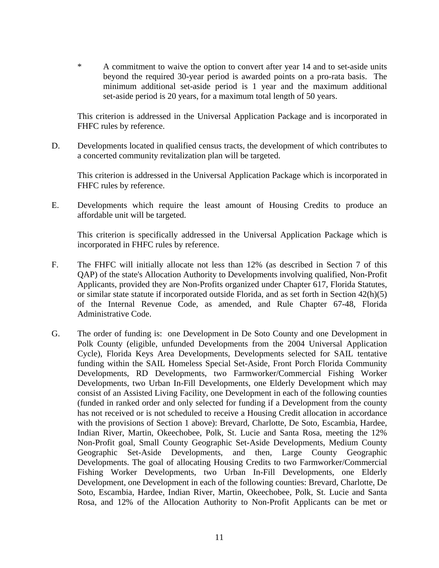\* A commitment to waive the option to convert after year 14 and to set-aside units beyond the required 30-year period is awarded points on a pro-rata basis. The minimum additional set-aside period is 1 year and the maximum additional set-aside period is 20 years, for a maximum total length of 50 years.

This criterion is addressed in the Universal Application Package and is incorporated in FHFC rules by reference.

D. Developments located in qualified census tracts, the development of which contributes to a concerted community revitalization plan will be targeted.

This criterion is addressed in the Universal Application Package which is incorporated in FHFC rules by reference.

E. Developments which require the least amount of Housing Credits to produce an affordable unit will be targeted.

This criterion is specifically addressed in the Universal Application Package which is incorporated in FHFC rules by reference.

- F. The FHFC will initially allocate not less than 12% (as described in Section 7 of this QAP) of the state's Allocation Authority to Developments involving qualified, Non-Profit Applicants, provided they are Non-Profits organized under Chapter 617, Florida Statutes, or similar state statute if incorporated outside Florida, and as set forth in Section 42(h)(5) of the Internal Revenue Code, as amended, and Rule Chapter 67-48, Florida Administrative Code.
- G. The order of funding is: one Development in De Soto County and one Development in Polk County (eligible, unfunded Developments from the 2004 Universal Application Cycle), Florida Keys Area Developments, Developments selected for SAIL tentative funding within the SAIL Homeless Special Set-Aside, Front Porch Florida Community Developments, RD Developments, two Farmworker/Commercial Fishing Worker Developments, two Urban In-Fill Developments, one Elderly Development which may consist of an Assisted Living Facility, one Development in each of the following counties (funded in ranked order and only selected for funding if a Development from the county has not received or is not scheduled to receive a Housing Credit allocation in accordance with the provisions of Section 1 above): Brevard, Charlotte, De Soto, Escambia, Hardee, Indian River, Martin, Okeechobee, Polk, St. Lucie and Santa Rosa, meeting the 12% Non-Profit goal, Small County Geographic Set-Aside Developments, Medium County Geographic Set-Aside Developments, and then, Large County Geographic Developments. The goal of allocating Housing Credits to two Farmworker/Commercial Fishing Worker Developments, two Urban In-Fill Developments, one Elderly Development, one Development in each of the following counties: Brevard, Charlotte, De Soto, Escambia, Hardee, Indian River, Martin, Okeechobee, Polk, St. Lucie and Santa Rosa, and 12% of the Allocation Authority to Non-Profit Applicants can be met or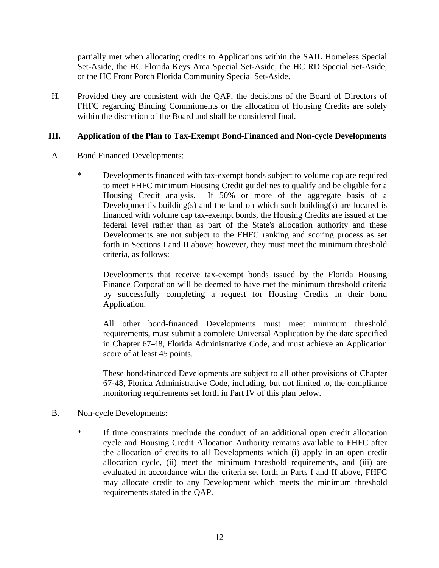partially met when allocating credits to Applications within the SAIL Homeless Special Set-Aside, the HC Florida Keys Area Special Set-Aside, the HC RD Special Set-Aside, or the HC Front Porch Florida Community Special Set-Aside.

H. Provided they are consistent with the QAP, the decisions of the Board of Directors of FHFC regarding Binding Commitments or the allocation of Housing Credits are solely within the discretion of the Board and shall be considered final.

## **III. Application of the Plan to Tax-Exempt Bond-Financed and Non-cycle Developments**

- A. Bond Financed Developments:
	- \* Developments financed with tax-exempt bonds subject to volume cap are required to meet FHFC minimum Housing Credit guidelines to qualify and be eligible for a Housing Credit analysis. If 50% or more of the aggregate basis of a Development's building(s) and the land on which such building(s) are located is financed with volume cap tax-exempt bonds, the Housing Credits are issued at the federal level rather than as part of the State's allocation authority and these Developments are not subject to the FHFC ranking and scoring process as set forth in Sections I and II above; however, they must meet the minimum threshold criteria, as follows:

Developments that receive tax-exempt bonds issued by the Florida Housing Finance Corporation will be deemed to have met the minimum threshold criteria by successfully completing a request for Housing Credits in their bond Application.

All other bond-financed Developments must meet minimum threshold requirements, must submit a complete Universal Application by the date specified in Chapter 67-48, Florida Administrative Code, and must achieve an Application score of at least 45 points.

These bond-financed Developments are subject to all other provisions of Chapter 67-48, Florida Administrative Code, including, but not limited to, the compliance monitoring requirements set forth in Part IV of this plan below.

- B. Non-cycle Developments:
	- \* If time constraints preclude the conduct of an additional open credit allocation cycle and Housing Credit Allocation Authority remains available to FHFC after the allocation of credits to all Developments which (i) apply in an open credit allocation cycle, (ii) meet the minimum threshold requirements, and (iii) are evaluated in accordance with the criteria set forth in Parts I and II above, FHFC may allocate credit to any Development which meets the minimum threshold requirements stated in the QAP.